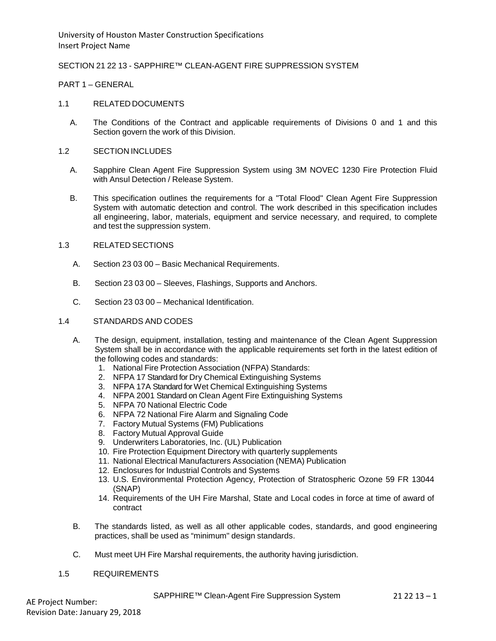### SECTION 21 22 13 - SAPPHIRE™ CLEAN-AGENT FIRE SUPPRESSION SYSTEM

#### PART 1 – GENERAL

#### 1.1 RELATED DOCUMENTS

A. The Conditions of the Contract and applicable requirements of Divisions 0 and 1 and this Section govern the work of this Division.

#### 1.2 SECTION INCLUDES

- A. Sapphire Clean Agent Fire Suppression System using 3M NOVEC 1230 Fire Protection Fluid with Ansul Detection / Release System.
- B. This specification outlines the requirements for a "Total Flood" Clean Agent Fire Suppression System with automatic detection and control. The work described in this specification includes all engineering, labor, materials, equipment and service necessary, and required, to complete and test the suppression system.

# 1.3 RELATED SECTIONS

- A. Section 23 03 00 Basic Mechanical Requirements.
- B. Section 23 03 00 Sleeves, Flashings, Supports and Anchors.
- C. Section 23 03 00 Mechanical Identification.

### 1.4 STANDARDS AND CODES

- A. The design, equipment, installation, testing and maintenance of the Clean Agent Suppression System shall be in accordance with the applicable requirements set forth in the latest edition of the following codes and standards:
	- 1. National Fire Protection Association (NFPA) Standards:
	- 2. NFPA 17 Standard for Dry Chemical Extinguishing Systems
	- 3. NFPA 17A Standard for Wet Chemical Extinguishing Systems
	- 4. NFPA 2001 Standard on Clean Agent Fire Extinguishing Systems
	- 5. NFPA 70 National Electric Code
	- 6. NFPA 72 National Fire Alarm and Signaling Code
	- 7. Factory Mutual Systems (FM) Publications
	- 8. Factory Mutual Approval Guide
	- 9. Underwriters Laboratories, Inc. (UL) Publication
	- 10. Fire Protection Equipment Directory with quarterly supplements
	- 11. National Electrical Manufacturers Association (NEMA) Publication
	- 12. Enclosures for Industrial Controls and Systems
	- 13. U.S. Environmental Protection Agency, Protection of Stratospheric Ozone 59 FR 13044 (SNAP)
	- 14. Requirements of the UH Fire Marshal, State and Local codes in force at time of award of contract
- B. The standards listed, as well as all other applicable codes, standards, and good engineering practices, shall be used as "minimum" design standards.
- C. Must meet UH Fire Marshal requirements, the authority having jurisdiction.
- 1.5 REQUIREMENTS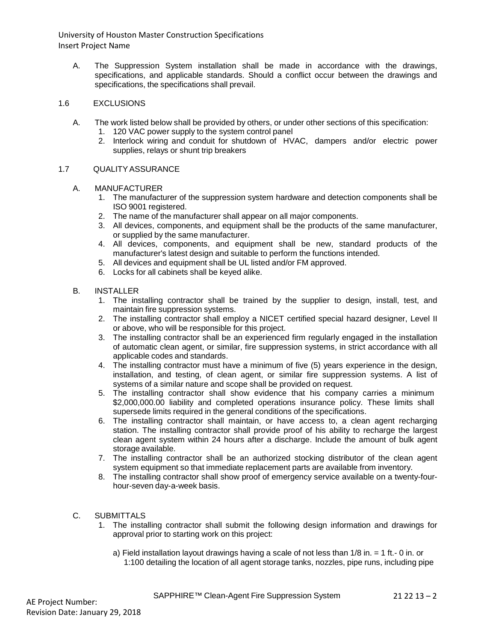A. The Suppression System installation shall be made in accordance with the drawings, specifications, and applicable standards. Should a conflict occur between the drawings and specifications, the specifications shall prevail.

### 1.6 EXCLUSIONS

- A. The work listed below shall be provided by others, or under other sections of this specification:
	- 1. 120 VAC power supply to the system control panel
	- 2. Interlock wiring and conduit for shutdown of HVAC, dampers and/or electric power supplies, relays or shunt trip breakers

### 1.7 QUALITYASSURANCE

- A. MANUFACTURER
	- 1. The manufacturer of the suppression system hardware and detection components shall be ISO 9001 registered.
	- 2. The name of the manufacturer shall appear on all major components.
	- 3. All devices, components, and equipment shall be the products of the same manufacturer, or supplied by the same manufacturer.
	- 4. All devices, components, and equipment shall be new, standard products of the manufacturer's latest design and suitable to perform the functions intended.
	- 5. All devices and equipment shall be UL listed and/or FM approved.
	- 6. Locks for all cabinets shall be keyed alike.
- B. INSTALLER
	- 1. The installing contractor shall be trained by the supplier to design, install, test, and maintain fire suppression systems.
	- 2. The installing contractor shall employ a NICET certified special hazard designer, Level II or above, who will be responsible for this project.
	- 3. The installing contractor shall be an experienced firm regularly engaged in the installation of automatic clean agent, or similar, fire suppression systems, in strict accordance with all applicable codes and standards.
	- 4. The installing contractor must have a minimum of five (5) years experience in the design, installation, and testing, of clean agent, or similar fire suppression systems. A list of systems of a similar nature and scope shall be provided on request.
	- 5. The installing contractor shall show evidence that his company carries a minimum \$2,000,000.00 liability and completed operations insurance policy. These limits shall supersede limits required in the general conditions of the specifications.
	- 6. The installing contractor shall maintain, or have access to, a clean agent recharging station. The installing contractor shall provide proof of his ability to recharge the largest clean agent system within 24 hours after a discharge. Include the amount of bulk agent storage available.
	- 7. The installing contractor shall be an authorized stocking distributor of the clean agent system equipment so that immediate replacement parts are available from inventory.
	- 8. The installing contractor shall show proof of emergency service available on a twenty-fourhour-seven day-a-week basis.
- C. SUBMITTALS
	- 1. The installing contractor shall submit the following design information and drawings for approval prior to starting work on this project:
		- a) Field installation layout drawings having a scale of not less than 1/8 in. = 1 ft.- 0 in. or 1:100 detailing the location of all agent storage tanks, nozzles, pipe runs, including pipe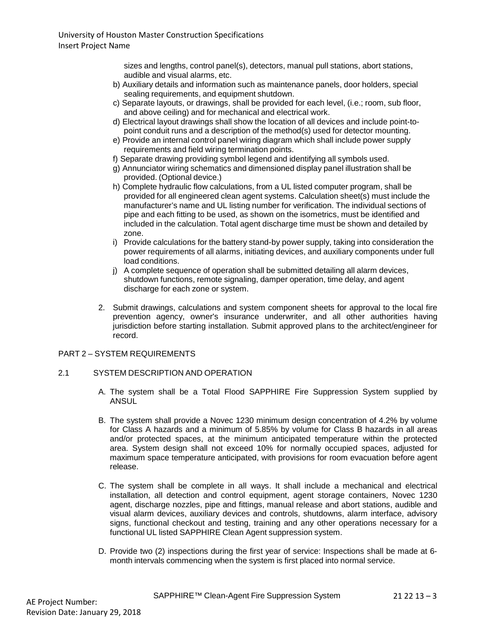sizes and lengths, control panel(s), detectors, manual pull stations, abort stations, audible and visual alarms, etc.

- b) Auxiliary details and information such as maintenance panels, door holders, special sealing requirements, and equipment shutdown.
- c) Separate layouts, or drawings, shall be provided for each level, (i.e.; room, sub floor, and above ceiling) and for mechanical and electrical work.
- d) Electrical layout drawings shall show the location of all devices and include point-topoint conduit runs and a description of the method(s) used for detector mounting.
- e) Provide an internal control panel wiring diagram which shall include power supply requirements and field wiring termination points.
- f) Separate drawing providing symbol legend and identifying all symbols used.
- g) Annunciator wiring schematics and dimensioned display panel illustration shall be provided. (Optional device.)
- h) Complete hydraulic flow calculations, from a UL listed computer program, shall be provided for all engineered clean agent systems. Calculation sheet(s) must include the manufacturer's name and UL listing number for verification. The individual sections of pipe and each fitting to be used, as shown on the isometrics, must be identified and included in the calculation. Total agent discharge time must be shown and detailed by zone.
- i) Provide calculations for the battery stand-by power supply, taking into consideration the power requirements of all alarms, initiating devices, and auxiliary components under full load conditions.
- j) A complete sequence of operation shall be submitted detailing all alarm devices, shutdown functions, remote signaling, damper operation, time delay, and agent discharge for each zone or system.
- 2. Submit drawings, calculations and system component sheets for approval to the local fire prevention agency, owner's insurance underwriter, and all other authorities having jurisdiction before starting installation. Submit approved plans to the architect/engineer for record.

### PART 2 – SYSTEM REQUIREMENTS

#### 2.1 SYSTEM DESCRIPTION AND OPERATION

- A. The system shall be a Total Flood SAPPHIRE Fire Suppression System supplied by ANSUL
- B. The system shall provide a Novec 1230 minimum design concentration of 4.2% by volume for Class A hazards and a minimum of 5.85% by volume for Class B hazards in all areas and/or protected spaces, at the minimum anticipated temperature within the protected area. System design shall not exceed 10% for normally occupied spaces, adjusted for maximum space temperature anticipated, with provisions for room evacuation before agent release.
- C. The system shall be complete in all ways. It shall include a mechanical and electrical installation, all detection and control equipment, agent storage containers, Novec 1230 agent, discharge nozzles, pipe and fittings, manual release and abort stations, audible and visual alarm devices, auxiliary devices and controls, shutdowns, alarm interface, advisory signs, functional checkout and testing, training and any other operations necessary for a functional UL listed SAPPHIRE Clean Agent suppression system.
- D. Provide two (2) inspections during the first year of service: Inspections shall be made at 6 month intervals commencing when the system is first placed into normal service.

SAPPHIRE™ Clean-Agent Fire Suppression System 21 22 13 - 3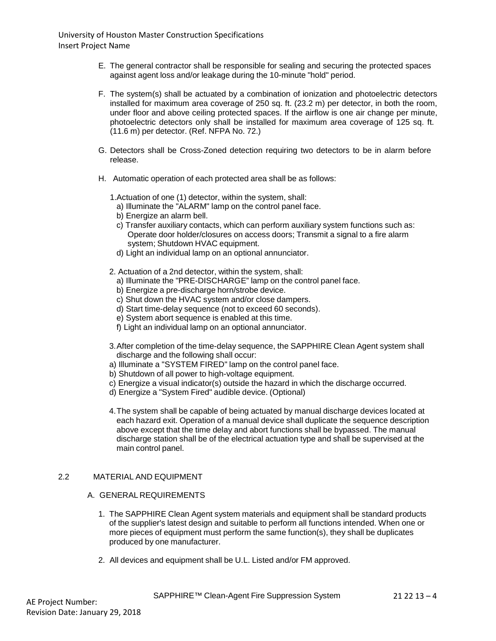- E. The general contractor shall be responsible for sealing and securing the protected spaces against agent loss and/or leakage during the 10-minute "hold" period.
- F. The system(s) shall be actuated by a combination of ionization and photoelectric detectors installed for maximum area coverage of 250 sq. ft. (23.2 m) per detector, in both the room, under floor and above ceiling protected spaces. If the airflow is one air change per minute, photoelectric detectors only shall be installed for maximum area coverage of 125 sq. ft. (11.6 m) per detector. (Ref. NFPA No. 72.)
- G. Detectors shall be Cross-Zoned detection requiring two detectors to be in alarm before release.
- H. Automatic operation of each protected area shall be as follows:

1.Actuation of one (1) detector, within the system, shall:

- a) Illuminate the "ALARM" lamp on the control panel face.
- b) Energize an alarm bell.
- c) Transfer auxiliary contacts, which can perform auxiliary system functions such as: Operate door holder/closures on access doors; Transmit a signal to a fire alarm system; Shutdown HVAC equipment.
- d) Light an individual lamp on an optional annunciator.
- 2. Actuation of a 2nd detector, within the system, shall:
	- a) Illuminate the "PRE-DISCHARGE" lamp on the control panel face.
	- b) Energize a pre-discharge horn/strobe device.
	- c) Shut down the HVAC system and/or close dampers.
	- d) Start time-delay sequence (not to exceed 60 seconds).
	- e) System abort sequence is enabled at this time.
	- f) Light an individual lamp on an optional annunciator.
- 3.After completion of the time-delay sequence, the SAPPHIRE Clean Agent system shall discharge and the following shall occur:
- a) Illuminate a "SYSTEM FIRED" lamp on the control panel face.
- b) Shutdown of all power to high-voltage equipment.
- c) Energize a visual indicator(s) outside the hazard in which the discharge occurred.
- d) Energize a "System Fired" audible device. (Optional)
- 4.The system shall be capable of being actuated by manual discharge devices located at each hazard exit. Operation of a manual device shall duplicate the sequence description above except that the time delay and abort functions shall be bypassed. The manual discharge station shall be of the electrical actuation type and shall be supervised at the main control panel.

### 2.2 MATERIAL AND EQUIPMENT

#### A. GENERAL REQUIREMENTS

- 1. The SAPPHIRE Clean Agent system materials and equipment shall be standard products of the supplier's latest design and suitable to perform all functions intended. When one or more pieces of equipment must perform the same function(s), they shall be duplicates produced by one manufacturer.
- 2. All devices and equipment shall be U.L. Listed and/or FM approved.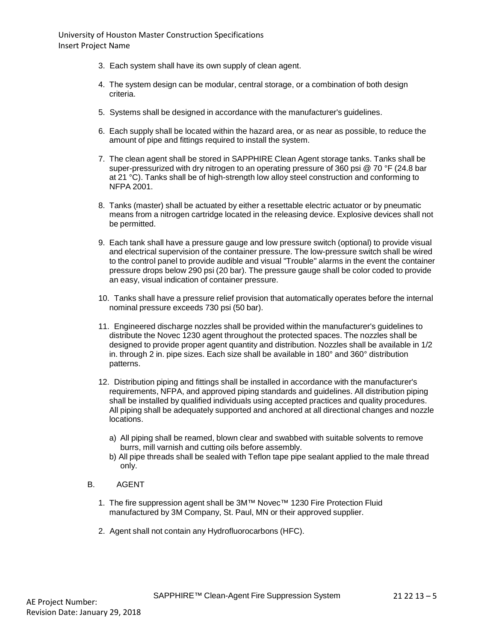- 3. Each system shall have its own supply of clean agent.
- 4. The system design can be modular, central storage, or a combination of both design criteria.
- 5. Systems shall be designed in accordance with the manufacturer's guidelines.
- 6. Each supply shall be located within the hazard area, or as near as possible, to reduce the amount of pipe and fittings required to install the system.
- 7. The clean agent shall be stored in SAPPHIRE Clean Agent storage tanks. Tanks shall be super-pressurized with dry nitrogen to an operating pressure of 360 psi @ 70 °F (24.8 bar at 21 °C). Tanks shall be of high-strength low alloy steel construction and conforming to NFPA 2001.
- 8. Tanks (master) shall be actuated by either a resettable electric actuator or by pneumatic means from a nitrogen cartridge located in the releasing device. Explosive devices shall not be permitted.
- 9. Each tank shall have a pressure gauge and low pressure switch (optional) to provide visual and electrical supervision of the container pressure. The low-pressure switch shall be wired to the control panel to provide audible and visual "Trouble" alarms in the event the container pressure drops below 290 psi (20 bar). The pressure gauge shall be color coded to provide an easy, visual indication of container pressure.
- 10. Tanks shall have a pressure relief provision that automatically operates before the internal nominal pressure exceeds 730 psi (50 bar).
- 11. Engineered discharge nozzles shall be provided within the manufacturer's guidelines to distribute the Novec 1230 agent throughout the protected spaces. The nozzles shall be designed to provide proper agent quantity and distribution. Nozzles shall be available in 1/2 in. through 2 in. pipe sizes. Each size shall be available in 180° and 360° distribution patterns.
- 12. Distribution piping and fittings shall be installed in accordance with the manufacturer's requirements, NFPA, and approved piping standards and guidelines. All distribution piping shall be installed by qualified individuals using accepted practices and quality procedures. All piping shall be adequately supported and anchored at all directional changes and nozzle locations.
	- a) All piping shall be reamed, blown clear and swabbed with suitable solvents to remove burrs, mill varnish and cutting oils before assembly.
	- b) All pipe threads shall be sealed with Teflon tape pipe sealant applied to the male thread only.
- B. AGENT
	- 1. The fire suppression agent shall be 3M™ Novec™ 1230 Fire Protection Fluid manufactured by 3M Company, St. Paul, MN or their approved supplier.
	- 2. Agent shall not contain any Hydrofluorocarbons (HFC).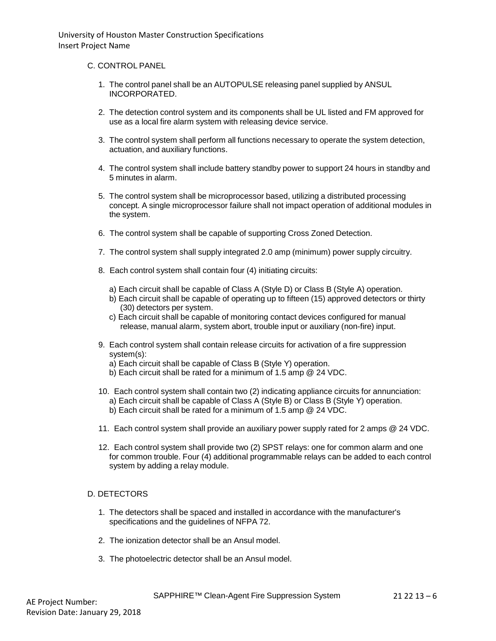### C. CONTROL PANEL

- 1. The control panel shall be an AUTOPULSE releasing panel supplied by ANSUL INCORPORATED.
- 2. The detection control system and its components shall be UL listed and FM approved for use as a local fire alarm system with releasing device service.
- 3. The control system shall perform all functions necessary to operate the system detection, actuation, and auxiliary functions.
- 4. The control system shall include battery standby power to support 24 hours in standby and 5 minutes in alarm.
- 5. The control system shall be microprocessor based, utilizing a distributed processing concept. A single microprocessor failure shall not impact operation of additional modules in the system.
- 6. The control system shall be capable of supporting Cross Zoned Detection.
- 7. The control system shall supply integrated 2.0 amp (minimum) power supply circuitry.
- 8. Each control system shall contain four (4) initiating circuits:
	- a) Each circuit shall be capable of Class A (Style D) or Class B (Style A) operation.
	- b) Each circuit shall be capable of operating up to fifteen (15) approved detectors or thirty (30) detectors per system.
	- c) Each circuit shall be capable of monitoring contact devices configured for manual release, manual alarm, system abort, trouble input or auxiliary (non-fire) input.
- 9. Each control system shall contain release circuits for activation of a fire suppression system(s):
	- a) Each circuit shall be capable of Class B (Style Y) operation.
	- b) Each circuit shall be rated for a minimum of 1.5 amp @ 24 VDC.
- 10. Each control system shall contain two (2) indicating appliance circuits for annunciation: a) Each circuit shall be capable of Class A (Style B) or Class B (Style Y) operation. b) Each circuit shall be rated for a minimum of 1.5 amp @ 24 VDC.
- 11. Each control system shall provide an auxiliary power supply rated for 2 amps @ 24 VDC.
- 12. Each control system shall provide two (2) SPST relays: one for common alarm and one for common trouble. Four (4) additional programmable relays can be added to each control system by adding a relay module.

# D. DETECTORS

- 1. The detectors shall be spaced and installed in accordance with the manufacturer's specifications and the guidelines of NFPA 72.
- 2. The ionization detector shall be an Ansul model.
- 3. The photoelectric detector shall be an Ansul model.

SAPPHIRE™ Clean-Agent Fire Suppression System 21 22 13 - 6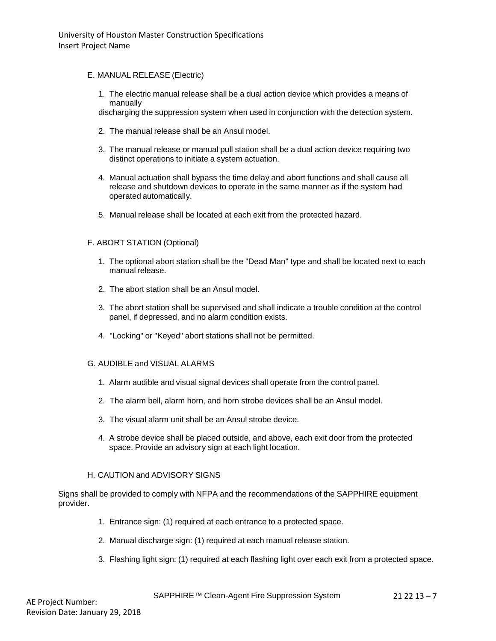### E. MANUAL RELEASE (Electric)

1. The electric manual release shall be a dual action device which provides a means of manually

discharging the suppression system when used in conjunction with the detection system.

- 2. The manual release shall be an Ansul model.
- 3. The manual release or manual pull station shall be a dual action device requiring two distinct operations to initiate a system actuation.
- 4. Manual actuation shall bypass the time delay and abort functions and shall cause all release and shutdown devices to operate in the same manner as if the system had operated automatically.
- 5. Manual release shall be located at each exit from the protected hazard.

# F. ABORT STATION (Optional)

- 1. The optional abort station shall be the "Dead Man" type and shall be located next to each manual release.
- 2. The abort station shall be an Ansul model.
- 3. The abort station shall be supervised and shall indicate a trouble condition at the control panel, if depressed, and no alarm condition exists.
- 4. "Locking" or "Keyed" abort stations shall not be permitted.

#### G. AUDIBLE and VISUAL ALARMS

- 1. Alarm audible and visual signal devices shall operate from the control panel.
- 2. The alarm bell, alarm horn, and horn strobe devices shall be an Ansul model.
- 3. The visual alarm unit shall be an Ansul strobe device.
- 4. A strobe device shall be placed outside, and above, each exit door from the protected space. Provide an advisory sign at each light location.

#### H. CAUTION and ADVISORY SIGNS

Signs shall be provided to comply with NFPA and the recommendations of the SAPPHIRE equipment provider.

- 1. Entrance sign: (1) required at each entrance to a protected space.
- 2. Manual discharge sign: (1) required at each manual release station.
- 3. Flashing light sign: (1) required at each flashing light over each exit from a protected space.

SAPPHIRE™ Clean-Agent Fire Suppression System 21 22 13 - 7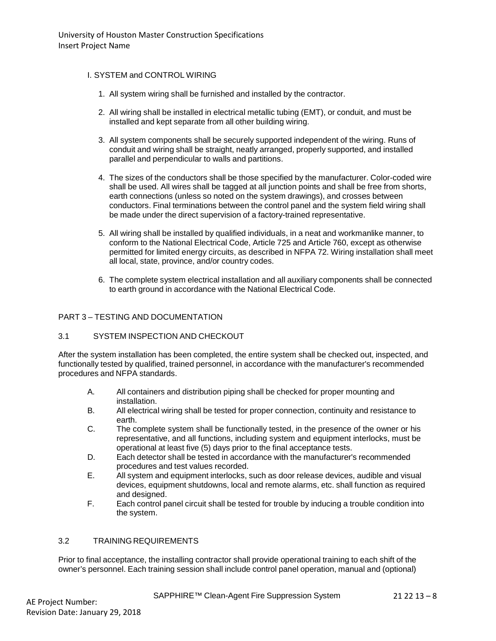# I. SYSTEM and CONTROL WIRING

- 1. All system wiring shall be furnished and installed by the contractor.
- 2. All wiring shall be installed in electrical metallic tubing (EMT), or conduit, and must be installed and kept separate from all other building wiring.
- 3. All system components shall be securely supported independent of the wiring. Runs of conduit and wiring shall be straight, neatly arranged, properly supported, and installed parallel and perpendicular to walls and partitions.
- 4. The sizes of the conductors shall be those specified by the manufacturer. Color-coded wire shall be used. All wires shall be tagged at all junction points and shall be free from shorts, earth connections (unless so noted on the system drawings), and crosses between conductors. Final terminations between the control panel and the system field wiring shall be made under the direct supervision of a factory-trained representative.
- 5. All wiring shall be installed by qualified individuals, in a neat and workmanlike manner, to conform to the National Electrical Code, Article 725 and Article 760, except as otherwise permitted for limited energy circuits, as described in NFPA 72. Wiring installation shall meet all local, state, province, and/or country codes.
- 6. The complete system electrical installation and all auxiliary components shall be connected to earth ground in accordance with the National Electrical Code.

# PART 3 – TESTING AND DOCUMENTATION

# 3.1 SYSTEM INSPECTION AND CHECKOUT

After the system installation has been completed, the entire system shall be checked out, inspected, and functionally tested by qualified, trained personnel, in accordance with the manufacturer's recommended procedures and NFPA standards.

- A. All containers and distribution piping shall be checked for proper mounting and installation.
- B. All electrical wiring shall be tested for proper connection, continuity and resistance to earth.
- C. The complete system shall be functionally tested, in the presence of the owner or his representative, and all functions, including system and equipment interlocks, must be operational at least five (5) days prior to the final acceptance tests.
- D. Each detector shall be tested in accordance with the manufacturer's recommended procedures and test values recorded.
- E. All system and equipment interlocks, such as door release devices, audible and visual devices, equipment shutdowns, local and remote alarms, etc. shall function as required and designed.
- F. Each control panel circuit shall be tested for trouble by inducing a trouble condition into the system.

# 3.2 TRAININGREQUIREMENTS

Prior to final acceptance, the installing contractor shall provide operational training to each shift of the owner's personnel. Each training session shall include control panel operation, manual and (optional)

SAPPHIRE™ Clean-Agent Fire Suppression System 21 22 13 – 8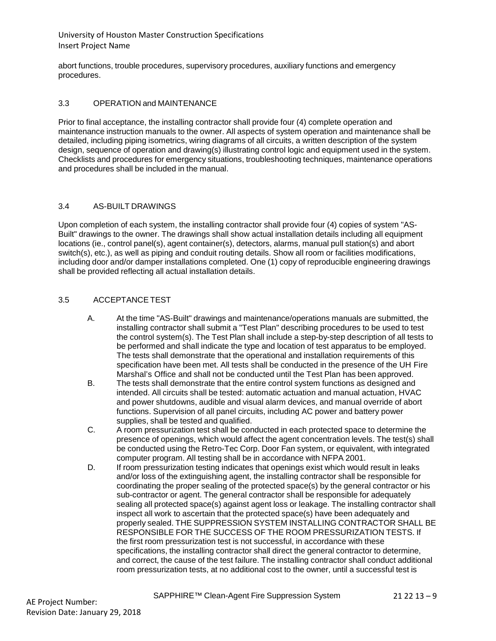abort functions, trouble procedures, supervisory procedures, auxiliary functions and emergency procedures.

### 3.3 OPERATION and MAINTENANCE

Prior to final acceptance, the installing contractor shall provide four (4) complete operation and maintenance instruction manuals to the owner. All aspects of system operation and maintenance shall be detailed, including piping isometrics, wiring diagrams of all circuits, a written description of the system design, sequence of operation and drawing(s) illustrating control logic and equipment used in the system. Checklists and procedures for emergency situations, troubleshooting techniques, maintenance operations and procedures shall be included in the manual.

### 3.4 AS-BUILT DRAWINGS

Upon completion of each system, the installing contractor shall provide four (4) copies of system "AS-Built" drawings to the owner. The drawings shall show actual installation details including all equipment locations (ie., control panel(s), agent container(s), detectors, alarms, manual pull station(s) and abort switch(s), etc.), as well as piping and conduit routing details. Show all room or facilities modifications, including door and/or damper installations completed. One (1) copy of reproducible engineering drawings shall be provided reflecting all actual installation details.

### 3.5 ACCEPTANCETEST

- A. At the time "AS-Built" drawings and maintenance/operations manuals are submitted, the installing contractor shall submit a "Test Plan" describing procedures to be used to test the control system(s). The Test Plan shall include a step-by-step description of all tests to be performed and shall indicate the type and location of test apparatus to be employed. The tests shall demonstrate that the operational and installation requirements of this specification have been met. All tests shall be conducted in the presence of the UH Fire Marshal's Office and shall not be conducted until the Test Plan has been approved.
- B. The tests shall demonstrate that the entire control system functions as designed and intended. All circuits shall be tested: automatic actuation and manual actuation, HVAC and power shutdowns, audible and visual alarm devices, and manual override of abort functions. Supervision of all panel circuits, including AC power and battery power supplies, shall be tested and qualified.
- C. A room pressurization test shall be conducted in each protected space to determine the presence of openings, which would affect the agent concentration levels. The test(s) shall be conducted using the Retro-Tec Corp. Door Fan system, or equivalent, with integrated computer program. All testing shall be in accordance with NFPA 2001.
- D. If room pressurization testing indicates that openings exist which would result in leaks and/or loss of the extinguishing agent, the installing contractor shall be responsible for coordinating the proper sealing of the protected space(s) by the general contractor or his sub-contractor or agent. The general contractor shall be responsible for adequately sealing all protected space(s) against agent loss or leakage. The installing contractor shall inspect all work to ascertain that the protected space(s) have been adequately and properly sealed. THE SUPPRESSION SYSTEM INSTALLING CONTRACTOR SHALL BE RESPONSIBLE FOR THE SUCCESS OF THE ROOM PRESSURIZATION TESTS. If the first room pressurization test is not successful, in accordance with these specifications, the installing contractor shall direct the general contractor to determine, and correct, the cause of the test failure. The installing contractor shall conduct additional room pressurization tests, at no additional cost to the owner, until a successful test is